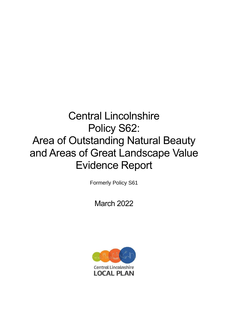# Central Lincolnshire Policy S62: Area of Outstanding Natural Beauty and Areas of Great Landscape Value Evidence Report

Formerly Policy S61

March 2022

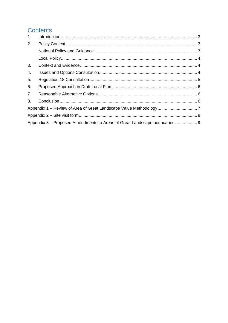# **Contents**

| 1. |                                                                         |  |  |  |  |
|----|-------------------------------------------------------------------------|--|--|--|--|
| 2. |                                                                         |  |  |  |  |
|    |                                                                         |  |  |  |  |
|    |                                                                         |  |  |  |  |
| 3. |                                                                         |  |  |  |  |
| 4. |                                                                         |  |  |  |  |
| 5. |                                                                         |  |  |  |  |
| 6. |                                                                         |  |  |  |  |
| 7. |                                                                         |  |  |  |  |
| 8. |                                                                         |  |  |  |  |
|    |                                                                         |  |  |  |  |
|    |                                                                         |  |  |  |  |
|    | Appendix 3 – Proposed Amendments to Areas of Great Landscape boundaries |  |  |  |  |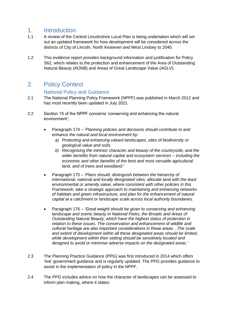### <span id="page-2-0"></span>1. Introduction

- 1.1 A review of the Central Lincolnshire Local Plan is being undertaken which will set out an updated framework for how development will be considered across the districts of City of Lincoln, North Kesteven and West Lindsey to 2040.
- 1.2 This evidence report provides background information and justification for Policy S62, which relates to the protection and enhancement of the Area of Outstanding Natural Beauty (AONB) and Areas of Great Landscape Value (AGLV).

# <span id="page-2-1"></span>2. Policy Context

#### National Policy and Guidance

- <span id="page-2-2"></span>2.1 The National Planning Policy Framework (NPPF) was published in March 2012 and has most recently been updated in July 2021.
- 2.2 Section 15 of the NPPF concerns 'conserving and enhancing the natural environment';
	- Paragraph 174 '*Planning policies and decisions should contribute to and enhance the natural and local environment by:*
		- *a) Protecting and enhancing valued landscapes, sites of biodiversity or geological value and soils;*
		- *b) Recognising the intrinsic character and beauty of the countryside, and the wider benefits from natural capital and ecosystem services – including the economic and other benefits of the best and most versatile agricultural land, and of trees and woodland:'*
	- Paragraph 175 '*Plans should: distinguish between the hierarchy of international, national and locally designated sites; allocate land with the least environmental or amenity value, where consistent with other policies in this Framework; take a strategic approach to maintaining and enhancing networks of habitats and green infrastructure; and plan for the enhancement of natural capital at a catchment or landscape scale across local authority boundaries.*
	- Paragraph 176 *'Great weight should be given to conserving and enhancing landscape and scenic beauty in National Parks, the Broads and Areas of Outstanding Natural Beauty, which have the highest status of protection in relation to these issues. The conservation and enhancement of wildlife and cultural heritage are also important considerations in these areas…The scale and extent of development within all these designated areas should be limited, while development within their setting should be sensitively located and designed to avoid or minimise adverse impacts on the designated areas.'*
- 2.3 The Planning Practice Guidance (PPG) was first introduced in 2014 which offers 'live' government guidance and is regularly updated. The PPG provides guidance to assist in the implementation of policy in the NPPF.
- 2.4 The PPG includes advice on how the character of landscapes can be assessed to inform plan making, where it states: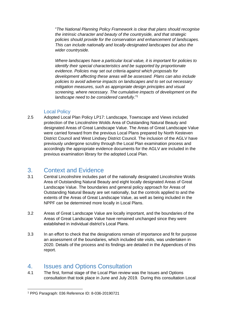"*The National Planning Policy Framework is clear that plans should recognise the intrinsic character and beauty of the countryside, and that strategic policies should provide for the conservation and enhancement of landscapes. This can include nationally and locally-designated landscapes but also the wider countryside.*

*Where landscapes have a particular local value, it is important for policies to identify their special characteristics and be supported by proportionate evidence. Policies may set out criteria against which proposals for development affecting these areas will be assessed. Plans can also include policies to avoid adverse impacts on landscapes and to set out necessary mitigation measures, such as appropriate design principles and visual screening, where necessary. The cumulative impacts of development on the landscape need to be considered carefully*."<sup>1</sup>

#### Local Policy

<span id="page-3-0"></span>2.5 Adopted Local Plan Policy LP17: Landscape, Townscape and Views included protection of the Lincolnshire Wolds Area of Outstanding Natural Beauty and designated Areas of Great Landscape Value. The Areas of Great Landscape Value were carried forward from the previous Local Plans prepared by North Kesteven District Council and West Lindsey District Council. The inclusion of the AGLV have previously undergone scrutiny through the Local Plan examination process and accordingly the appropriate evidence documents for the AGLV are included in the previous examination library for the adopted Local Plan.

# <span id="page-3-1"></span>3. Context and Evidence

- 3.1 Central Lincolnshire includes part of the nationally designated Lincolnshire Wolds Area of Outstanding Natural Beauty and eight locally designated Areas of Great Landscape Value. The boundaries and general policy approach for Areas of Outstanding Natural Beauty are set nationally, but the controls applied to and the extents of the Areas of Great Landscape Value, as well as being included in the NPPF can be determined more locally in Local Plans.
- 3.2 Areas of Great Landscape Value are locally important, and the boundaries of the Areas of Great Landscape Value have remained unchanged since they were established in individual district's Local Plans.
- 3.3 In an effort to check that the designations remain of importance and fit for purpose an assessment of the boundaries, which included site visits, was undertaken in 2020. Details of the process and its findings are detailed in the Appendices of this report.

# <span id="page-3-2"></span>4. Issues and Options Consultation

4.1 The first, formal stage of the Local Plan review was the Issues and Options consultation that took place in June and July 2019. During this consultation Local

<sup>1</sup> PPG Paragraph: 036 Reference ID: 8-036-20190721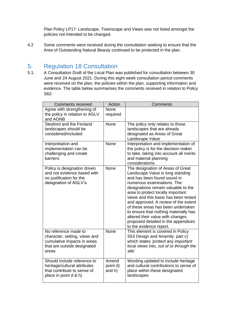Plan Policy LP17: Landscape, Townscape and Views was not listed amongst the policies not intended to be changed.

4.2 Some comments were received during the consultation seeking to ensure that the Area of Outstanding Natural Beauty continued to be protected in the plan.

# <span id="page-4-0"></span>5. Regulation 18 Consultation

5.1. A Consultation Draft of the Local Plan was published for consultation between 30 June and 24 August 2021. During this eight week consultation period comments were received on the plan, the policies within the plan, supporting information and evidence. The table below summarises the comments received in relation to Policy S62:

| <b>Comments received</b>                                                                                                     | Action                      | Comments                                                                                                                                                                                                                                                                                                                                                                                                                                                                            |
|------------------------------------------------------------------------------------------------------------------------------|-----------------------------|-------------------------------------------------------------------------------------------------------------------------------------------------------------------------------------------------------------------------------------------------------------------------------------------------------------------------------------------------------------------------------------------------------------------------------------------------------------------------------------|
| Agree with strengthening of<br>the policy in relation to AGLV<br>and AONB                                                    | None<br>required            |                                                                                                                                                                                                                                                                                                                                                                                                                                                                                     |
| Sleaford and the Fenland<br>landscapes should be<br>considered/included                                                      | None                        | The policy only relates to those<br>landscapes that are already<br>designated as Areas of Great<br>Landscape Value                                                                                                                                                                                                                                                                                                                                                                  |
| Interpretation and<br>implementation can be<br>challenging and create<br>barriers                                            | None                        | Interpretation and implementation of<br>the policy is for the decision maker<br>to take, taking into account all merits<br>and material planning<br>considerations.                                                                                                                                                                                                                                                                                                                 |
| Policy is designation driven<br>and not evidence based with<br>no justification for the<br>designation of AGLV's             | None                        | The designation of Areas of Great<br>Landscape Value is long standing<br>and has been found sound in<br>numerous examinations. The<br>designations remain valuable to the<br>area to protect locally important<br>views and this basis has been tested<br>and approved. A review of the extent<br>of these areas has been undertaken<br>to ensure that nothing materially has<br>altered their value with changes<br>proposed detailed in the appendices<br>to the evidence report. |
| No reference made to<br>character, setting, views and<br>cumulative impacts in areas<br>that are outside designated<br>areas | None                        | This element is covered in Policy<br>S53 Design and Amenity: part c)<br>which states 'protect any important<br>local views into, out of or through the<br>site'                                                                                                                                                                                                                                                                                                                     |
| Should include reference to<br>heritage/cultural attributes<br>that contribute to sense of<br>place in point d & h)          | Amend<br>point d)<br>and h) | Wording updated to include heritage<br>and cultural contributions to sense of<br>place within these designated<br>landscapes                                                                                                                                                                                                                                                                                                                                                        |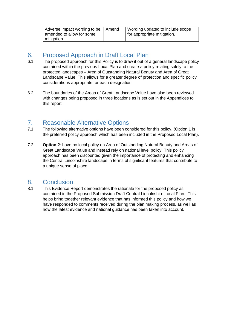| Adverse impact wording to be   Amend | Wording updated to include scope         |
|--------------------------------------|------------------------------------------|
| amended to allow for some            | <sup>1</sup> for appropriate mitigation. |
| mitigation                           |                                          |

# <span id="page-5-0"></span>6. Proposed Approach in Draft Local Plan

- 6.1 The proposed approach for this Policy is to draw it out of a general landscape policy contained within the previous Local Plan and create a policy relating solely to the protected landscapes – Area of Outstanding Natural Beauty and Area of Great Landscape Value. This allows for a greater degree of protection and specific policy considerations appropriate for each designation.
- 6.2 The boundaries of the Areas of Great Landscape Value have also been reviewed with changes being proposed in three locations as is set out in the Appendices to this report.

# <span id="page-5-1"></span>7. Reasonable Alternative Options

- 7.1 The following alternative options have been considered for this policy. (Option 1 is the preferred policy approach which has been included in the Proposed Local Plan).
- 7.2 **Option 2**: have no local policy on Area of Outstanding Natural Beauty and Areas of Great Landscape Value and instead rely on national level policy. This policy approach has been discounted given the importance of protecting and enhancing the Central Lincolnshire landscape in terms of significant features that contribute to a unique sense of place.

# <span id="page-5-2"></span>8. Conclusion

8.1 This Evidence Report demonstrates the rationale for the proposed policy as contained in the Proposed Submission Draft Central Lincolnshire Local Plan. This helps bring together relevant evidence that has informed this policy and how we have responded to comments received during the plan making process, as well as how the latest evidence and national guidance has been taken into account.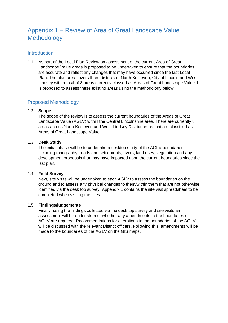# <span id="page-6-0"></span>Appendix 1 – Review of Area of Great Landscape Value Methodology

#### **Introduction**

1.1 As part of the Local Plan Review an assessment of the current Area of Great Landscape Value areas is proposed to be undertaken to ensure that the boundaries are accurate and reflect any changes that may have occurred since the last Local Plan. The plan area covers three districts of North Kesteven, City of Lincoln and West Lindsey with a total of 8 areas currently classed as Areas of Great Landscape Value. It is proposed to assess these existing areas using the methodology below:

#### Proposed Methodology

#### 1.2 **Scope**

The scope of the review is to assess the current boundaries of the Areas of Great Landscape Value (AGLV) within the Central Lincolnshire area. There are currently 8 areas across North Kesteven and West Lindsey District areas that are classified as Areas of Great Landscape Value.

#### 1.3 **Desk Study**

The initial phase will be to undertake a desktop study of the AGLV boundaries, including topography, roads and settlements, rivers, land uses, vegetation and any development proposals that may have impacted upon the current boundaries since the last plan.

#### 1.4 **Field Survey**

Next, site visits will be undertaken to each AGLV to assess the boundaries on the ground and to assess any physical changes to them/within them that are not otherwise identified via the desk top survey. Appendix 1 contains the site visit spreadsheet to be completed when visiting the sites.

#### 1.5 **Findings/judgements**

Finally, using the findings collected via the desk top survey and site visits an assessment will be undertaken of whether any amendments to the boundaries of AGLV are required. Recommendations for alterations to the boundaries of the AGLV will be discussed with the relevant District officers. Following this, amendments will be made to the boundaries of the AGLV on the GIS maps.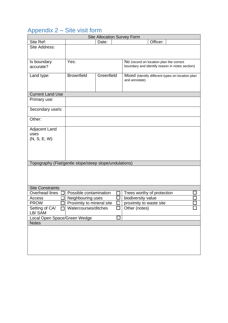# <span id="page-7-0"></span>Appendix 2 – Site visit form

| <b>Site Allocation Survey Form</b>                     |                                             |            |  |                                                  |  |  |  |  |  |
|--------------------------------------------------------|---------------------------------------------|------------|--|--------------------------------------------------|--|--|--|--|--|
| Site Ref:                                              |                                             | Date:      |  | Officer:                                         |  |  |  |  |  |
| Site Address:                                          |                                             |            |  |                                                  |  |  |  |  |  |
|                                                        |                                             |            |  |                                                  |  |  |  |  |  |
| Is boundary                                            | Yes:                                        |            |  | No (record on location plan the correct          |  |  |  |  |  |
| accurate?                                              |                                             |            |  | boundary and identify reason in notes section)   |  |  |  |  |  |
|                                                        |                                             |            |  |                                                  |  |  |  |  |  |
| Land type:                                             | <b>Brownfield</b>                           | Greenfield |  | Mixed (Identify different types on location plan |  |  |  |  |  |
|                                                        |                                             |            |  | and annotate)                                    |  |  |  |  |  |
|                                                        |                                             |            |  |                                                  |  |  |  |  |  |
| <b>Current Land Use</b>                                |                                             |            |  |                                                  |  |  |  |  |  |
| Primary use:                                           |                                             |            |  |                                                  |  |  |  |  |  |
|                                                        |                                             |            |  |                                                  |  |  |  |  |  |
| Secondary use/s:                                       |                                             |            |  |                                                  |  |  |  |  |  |
|                                                        |                                             |            |  |                                                  |  |  |  |  |  |
| Other:                                                 |                                             |            |  |                                                  |  |  |  |  |  |
|                                                        |                                             |            |  |                                                  |  |  |  |  |  |
| Adjacent Land<br>uses                                  |                                             |            |  |                                                  |  |  |  |  |  |
| (N, S, E, W):                                          |                                             |            |  |                                                  |  |  |  |  |  |
|                                                        |                                             |            |  |                                                  |  |  |  |  |  |
|                                                        |                                             |            |  |                                                  |  |  |  |  |  |
|                                                        |                                             |            |  |                                                  |  |  |  |  |  |
|                                                        |                                             |            |  |                                                  |  |  |  |  |  |
| Topography (Flat/gentle slope/steep slope/undulations) |                                             |            |  |                                                  |  |  |  |  |  |
|                                                        |                                             |            |  |                                                  |  |  |  |  |  |
|                                                        |                                             |            |  |                                                  |  |  |  |  |  |
|                                                        |                                             |            |  |                                                  |  |  |  |  |  |
| <b>Site Constraints</b>                                |                                             |            |  |                                                  |  |  |  |  |  |
|                                                        |                                             |            |  |                                                  |  |  |  |  |  |
| Access                                                 |                                             |            |  |                                                  |  |  |  |  |  |
| <b>PROW</b>                                            | Proximity to mineral site                   |            |  | proximity to waste site                          |  |  |  |  |  |
| Setting of CA/ □ Watercourses/ditches                  |                                             |            |  | Other (notes)                                    |  |  |  |  |  |
| LB/SAM                                                 |                                             |            |  |                                                  |  |  |  |  |  |
| Local Open Space/Green Wedge                           |                                             |            |  |                                                  |  |  |  |  |  |
|                                                        |                                             |            |  |                                                  |  |  |  |  |  |
|                                                        |                                             |            |  |                                                  |  |  |  |  |  |
|                                                        |                                             |            |  |                                                  |  |  |  |  |  |
|                                                        |                                             |            |  |                                                  |  |  |  |  |  |
|                                                        |                                             |            |  |                                                  |  |  |  |  |  |
|                                                        |                                             |            |  |                                                  |  |  |  |  |  |
| Overhead lines<br><b>Notes</b>                         | Possible contamination<br>Neighbouring uses |            |  | Trees worthy of protection<br>biodiversity value |  |  |  |  |  |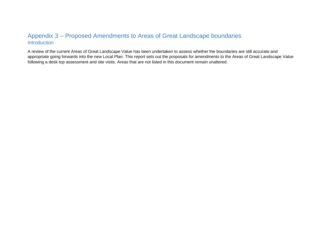# Appendix 3 – Proposed Amendments to Areas of Great Landscape boundaries **Introduction**

<span id="page-8-0"></span>A review of the current Areas of Great Landscape Value has been undertaken to assess whether the boundaries are still accurate and appropriate going forwards into the new Local Plan. This report sets out the proposals for amendments to the Areas of Great Landscape Value following a desk top assessment and site visits. Areas that are not listed in this document remain unaltered.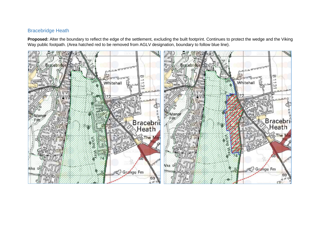#### Bracebridge Heath

**Proposed:** Alter the boundary to reflect the edge of the settlement, excluding the built footprint. Continues to protect the wedge and the Viking Way public footpath. (Area hatched red to be removed from AGLV designation, boundary to follow blue line).

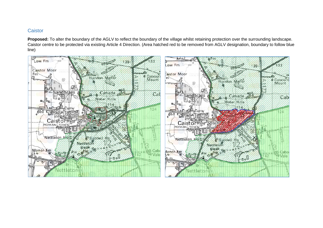#### **Caistor**

**Proposed:** To alter the boundary of the AGLV to reflect the boundary of the village whilst retaining protection over the surrounding landscape. Caistor centre to be protected via existing Article 4 Direction. (Area hatched red to be removed from AGLV designation, boundary to follow blue line)